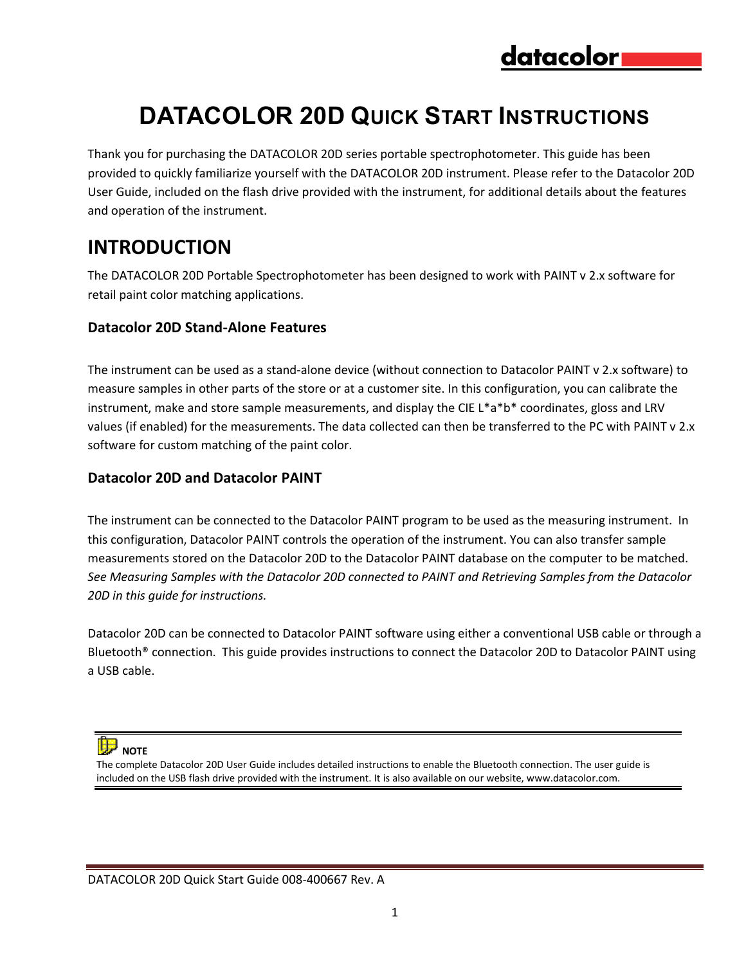# **DATACOLOR 20D QUICK START INSTRUCTIONS**

Thank you for purchasing the DATACOLOR 20D series portable spectrophotometer. This guide has been provided to quickly familiarize yourself with the DATACOLOR 20D instrument. Please refer to the Datacolor 20D User Guide, included on the flash drive provided with the instrument, for additional details about the features and operation of the instrument.

# **INTRODUCTION**

The DATACOLOR 20D Portable Spectrophotometer has been designed to work with PAINT v 2.x software for retail paint color matching applications.

#### **Datacolor 20D Stand-Alone Features**

The instrument can be used as a stand-alone device (without connection to Datacolor PAINT v 2.x software) to measure samples in other parts of the store or at a customer site. In this configuration, you can calibrate the instrument, make and store sample measurements, and display the CIE L\*a\*b\* coordinates, gloss and LRV values (if enabled) for the measurements. The data collected can then be transferred to the PC with PAINT v 2.x software for custom matching of the paint color.

#### **Datacolor 20D and Datacolor PAINT**

The instrument can be connected to the Datacolor PAINT program to be used as the measuring instrument. In this configuration, Datacolor PAINT controls the operation of the instrument. You can also transfer sample measurements stored on the Datacolor 20D to the Datacolor PAINT database on the computer to be matched. *See Measuring Samples with the Datacolor 20D connected to PAINT and Retrieving Samples from the Datacolor 20D in this guide for instructions.* 

Datacolor 20D can be connected to Datacolor PAINT software using either a conventional USB cable or through a Bluetooth® connection. This guide provides instructions to connect the Datacolor 20D to Datacolor PAINT using a USB cable.

 **NOTE** 

The complete Datacolor 20D User Guide includes detailed instructions to enable the Bluetooth connection. The user guide is included on the USB flash drive provided with the instrument. It is also available on our website, www.datacolor.com.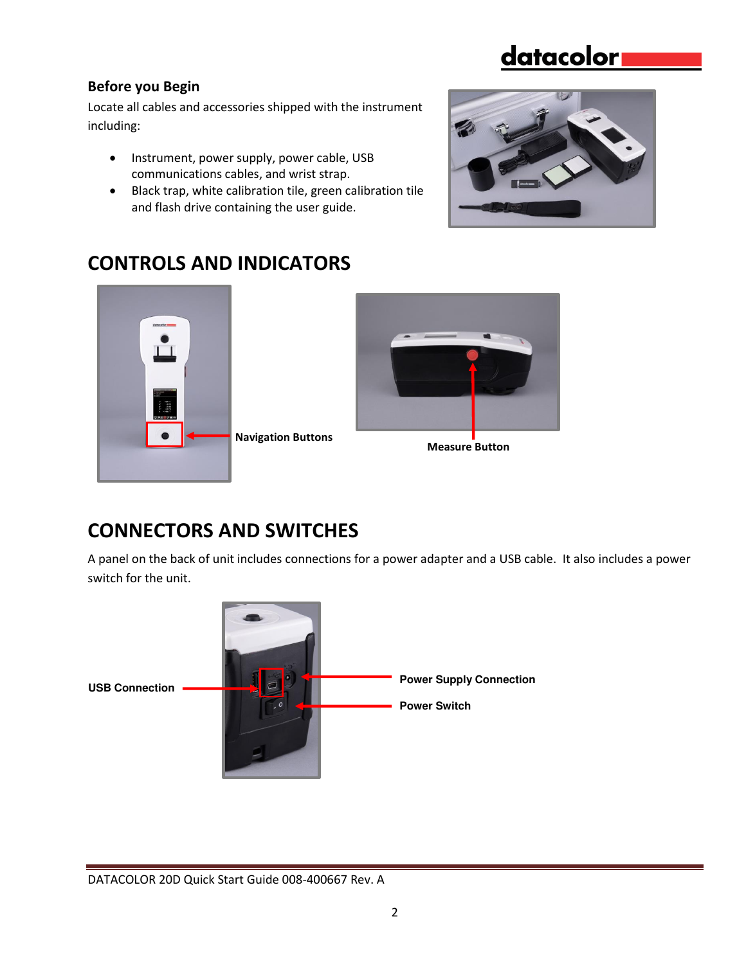#### **Before you Begin**

Locate all cables and accessories shipped with the instrument including:

- Instrument, power supply, power cable, USB communications cables, and wrist strap.
- Black trap, white calibration tile, green calibration tile and flash drive containing the user guide.



## **CONTROLS AND INDICATORS**





**Measure Button** 

## **CONNECTORS AND SWITCHES**

A panel on the back of unit includes connections for a power adapter and a USB cable. It also includes a power switch for the unit.

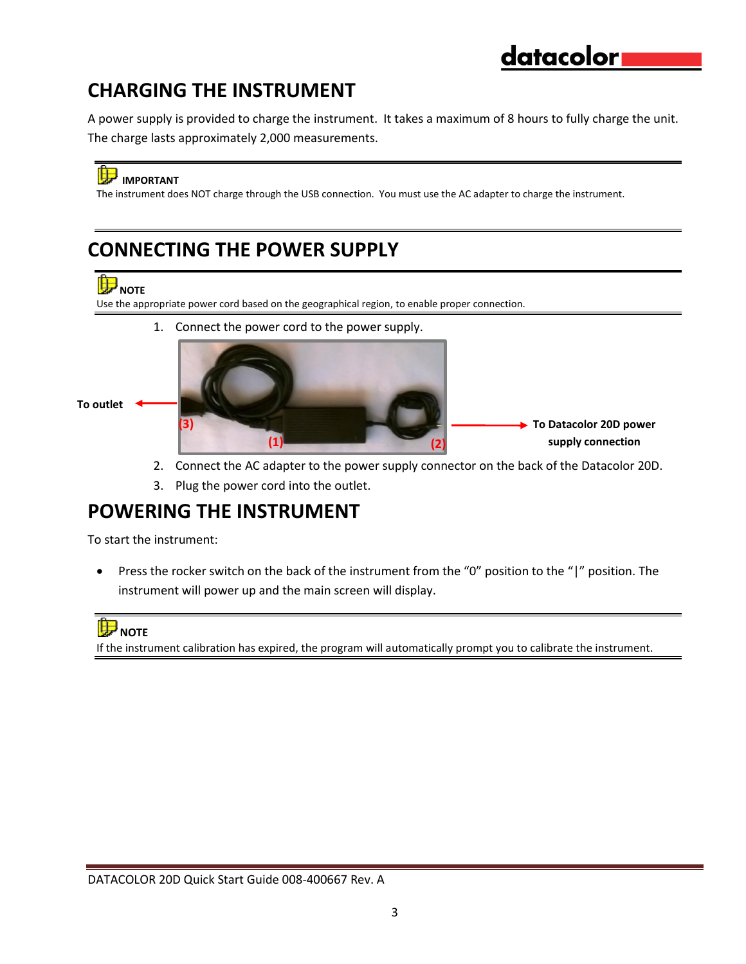## **CHARGING THE INSTRUMENT**

A power supply is provided to charge the instrument. It takes a maximum of 8 hours to fully charge the unit. The charge lasts approximately 2,000 measurements.

### **B** IMPORTANT

The instrument does NOT charge through the USB connection. You must use the AC adapter to charge the instrument.

### **CONNECTING THE POWER SUPPLY**

# **ID** NOTE

Use the appropriate power cord based on the geographical region, to enable proper connection.

1. Connect the power cord to the power supply.



- 2. Connect the AC adapter to the power supply connector on the back of the Datacolor 20D. 1
- 3. Plug the power cord into the outlet.

### **POWERING THE INSTRUMENT**

To start the instrument:

 Press the rocker switch on the back of the instrument from the "0" position to the "|" position. The instrument will power up and the main screen will display.

### **NOTE**

If the instrument calibration has expired, the program will automatically prompt you to calibrate the instrument.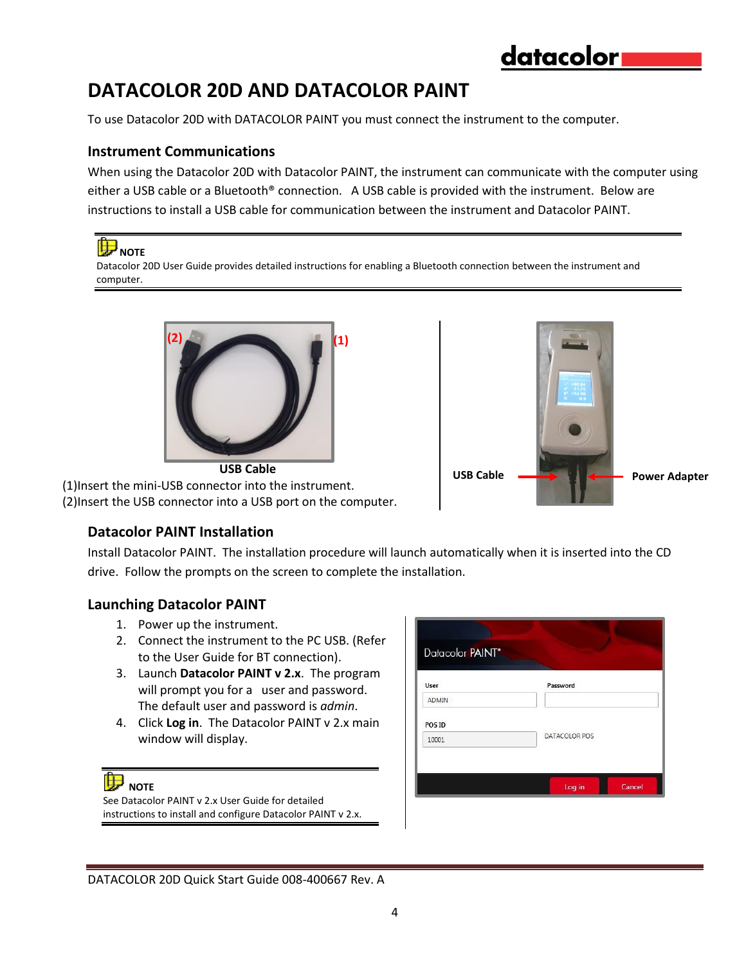**USB Cable Adapter Power Adapter** 

## **DATACOLOR 20D AND DATACOLOR PAINT**

To use Datacolor 20D with DATACOLOR PAINT you must connect the instrument to the computer.

#### **Instrument Communications**

When using the Datacolor 20D with Datacolor PAINT, the instrument can communicate with the computer using either a USB cable or a Bluetooth® connection. A USB cable is provided with the instrument. Below are instructions to install a USB cable for communication between the instrument and Datacolor PAINT.

 **NOTE**  Datacolor 20D User Guide provides detailed instructions for enabling a Bluetooth connection between the instrument and computer.



**USB Cable**  (1)Insert the mini-USB connector into the instrument. (2)Insert the USB connector into a USB port on the computer.

#### **Datacolor PAINT Installation**

Install Datacolor PAINT. The installation procedure will launch automatically when it is inserted into the CD drive. Follow the prompts on the screen to complete the installation.

#### **Launching Datacolor PAINT**

- 1. Power up the instrument.
- 2. Connect the instrument to the PC USB. (Refer to the User Guide for BT connection).
- 3. Launch **Datacolor PAINT v 2.x**. The program will prompt you for a user and password. The default user and password is *admin*.
- 4. Click **Log in**. The Datacolor PAINT v 2.x main window will display.

#### **NOTE**

See Datacolor PAINT v 2.x User Guide for detailed instructions to install and configure Datacolor PAINT v 2.x.

| User   | Password      |
|--------|---------------|
| ADMIN  |               |
| POS ID |               |
| 10001  | DATACOLOR POS |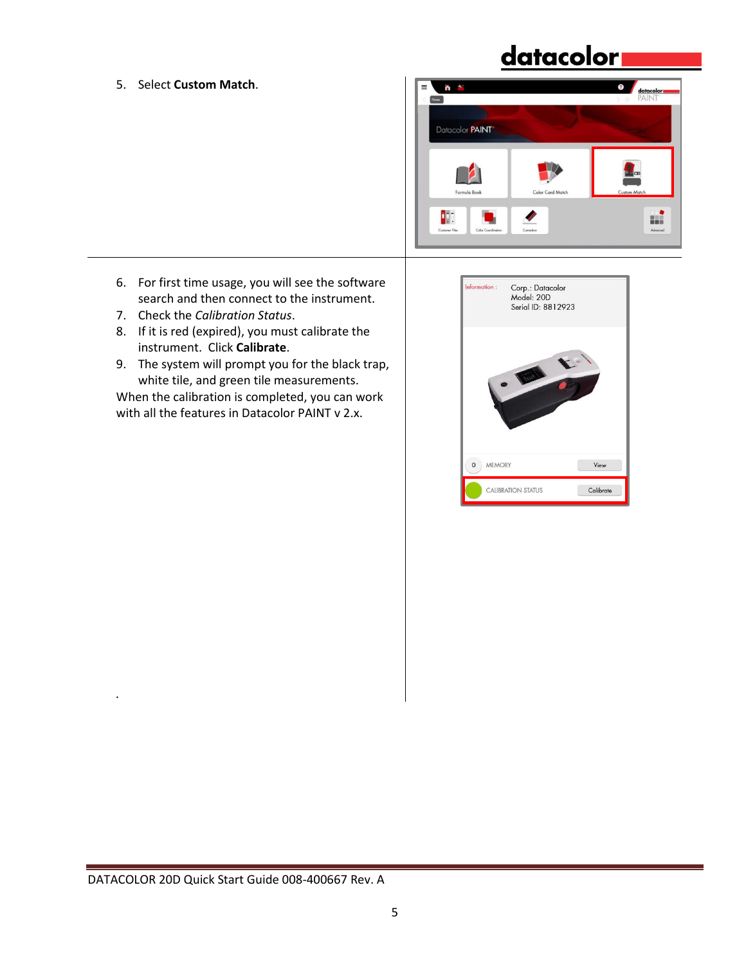5. Select **Custom Match**.



- 6. For first time usage, you will see the software search and then connect to the instrument.
- 7. Check the *Calibration Status*.
- 8. If it is red (expired), you must calibrate the instrument. Click **Calibrate**.
- 9. The system will prompt you for the black trap, white tile, and green tile measurements.

When the calibration is completed, you can work with all the features in Datacolor PAINT v 2.x.

| Information:                 | Corp.: Datacolor<br>Model: 20D<br>Serial ID: 8812923 |      |
|------------------------------|------------------------------------------------------|------|
|                              |                                                      |      |
|                              |                                                      |      |
| <b>MEMORY</b><br>$\mathbf 0$ |                                                      | View |

*.*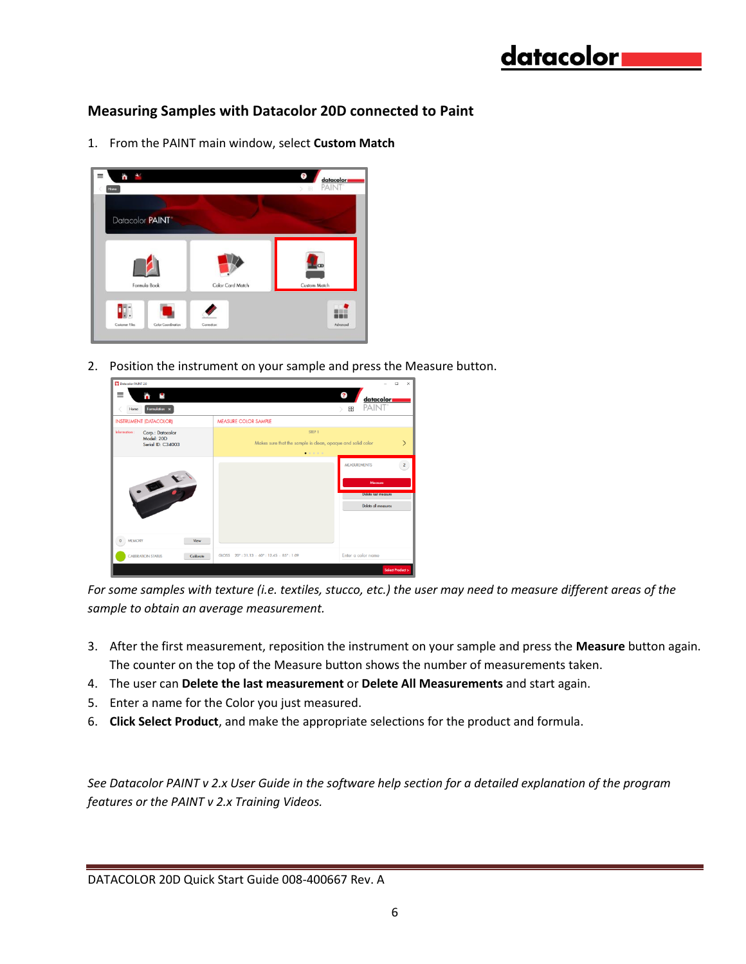#### **Measuring Samples with Datacolor 20D connected to Paint**

1. From the PAINT main window, select **Custom Match**



2. Position the instrument on your sample and press the Measure button.



*For some samples with texture (i.e. textiles, stucco, etc.) the user may need to measure different areas of the sample to obtain an average measurement.* 

- 3. After the first measurement, reposition the instrument on your sample and press the **Measure** button again. The counter on the top of the Measure button shows the number of measurements taken.
- 4. The user can **Delete the last measurement** or **Delete All Measurements** and start again.
- 5. Enter a name for the Color you just measured.
- 6. **Click Select Product**, and make the appropriate selections for the product and formula.

*See Datacolor PAINT v 2.x User Guide in the software help section for a detailed explanation of the program features or the PAINT v 2.x Training Videos.*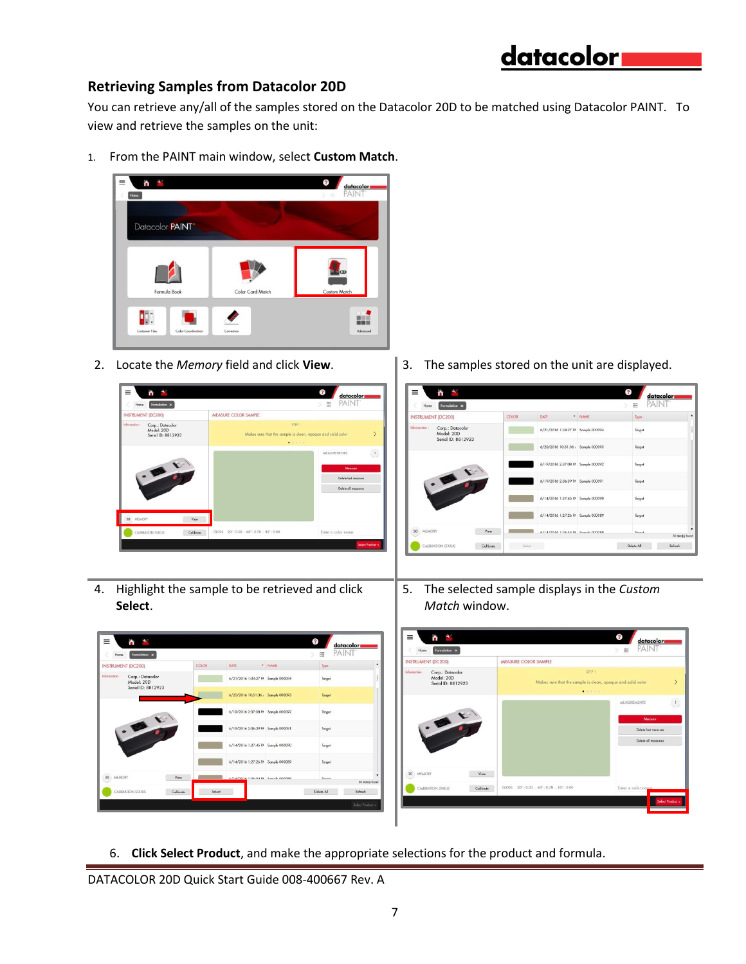#### **Retrieving Samples from Datacolor 20D**

You can retrieve any/all of the samples stored on the Datacolor 20D to be matched using Datacolor PAINT. To view and retrieve the samples on the unit:

1. From the PAINT main window, select **Custom Match**.





2. Locate the *Memory* field and click **View**. 3. The samples stored on the unit are displayed.



4. Highlight the sample to be retrieved and click **Select**.

DATE

 $6/21/2016$  1:34:27 PF Sample 000094

6/20/2016 10:51:36, Sa

6/14/2016 1:27:45 PM Sar 6/14/2016 1:27:26 PP So

6/19/2016 2:37:08 P/ Sample 00 6/19/2016 2:36:39 Ph Somple 00

COLOR

.

 $\mathbb{C}$  and  $\mathbb{C}$ 

y<br>€

 $\begin{tabular}{|l|l|} \hline & Formulation & $\times$ \\ \hline \end{tabular}$ 

orp.: Data

,<br>ial ID: 8812923

UMENT (DC200)

5. The selected sample displays in the *Custom Match* window.



6. **Click Select Product**, and make the appropriate selections for the product and formula.

 $\overline{\mathbf{?}}$ 

**BR** 

 $\bar{\gamma}_{\rm ppo}$ 

Target

Target

Target

Target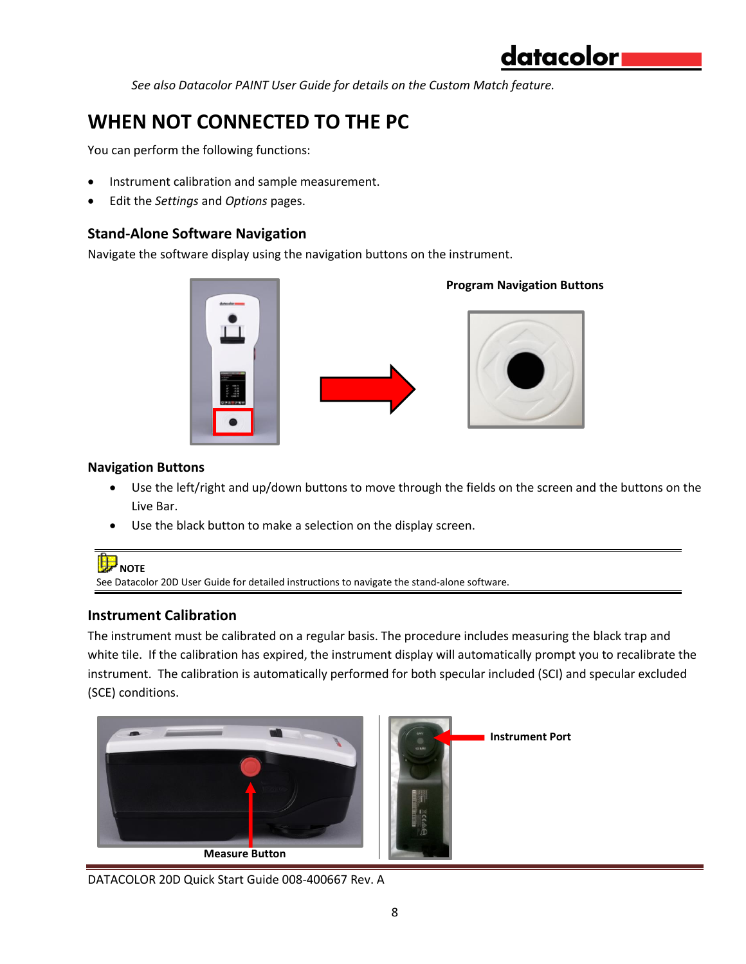*See also Datacolor PAINT User Guide for details on the Custom Match feature.* 

# **WHEN NOT CONNECTED TO THE PC**

You can perform the following functions:

- Instrument calibration and sample measurement.
- Edit the *Settings* and *Options* pages.

#### **Stand-Alone Software Navigation**

Navigate the software display using the navigation buttons on the instrument.



#### **Navigation Buttons**

- Use the left/right and up/down buttons to move through the fields on the screen and the buttons on the Live Bar.
- Use the black button to make a selection on the display screen.



#### **Instrument Calibration**

The instrument must be calibrated on a regular basis. The procedure includes measuring the black trap and white tile. If the calibration has expired, the instrument display will automatically prompt you to recalibrate the instrument. The calibration is automatically performed for both specular included (SCI) and specular excluded (SCE) conditions.



DATACOLOR 20D Quick Start Guide 008-400667 Rev. A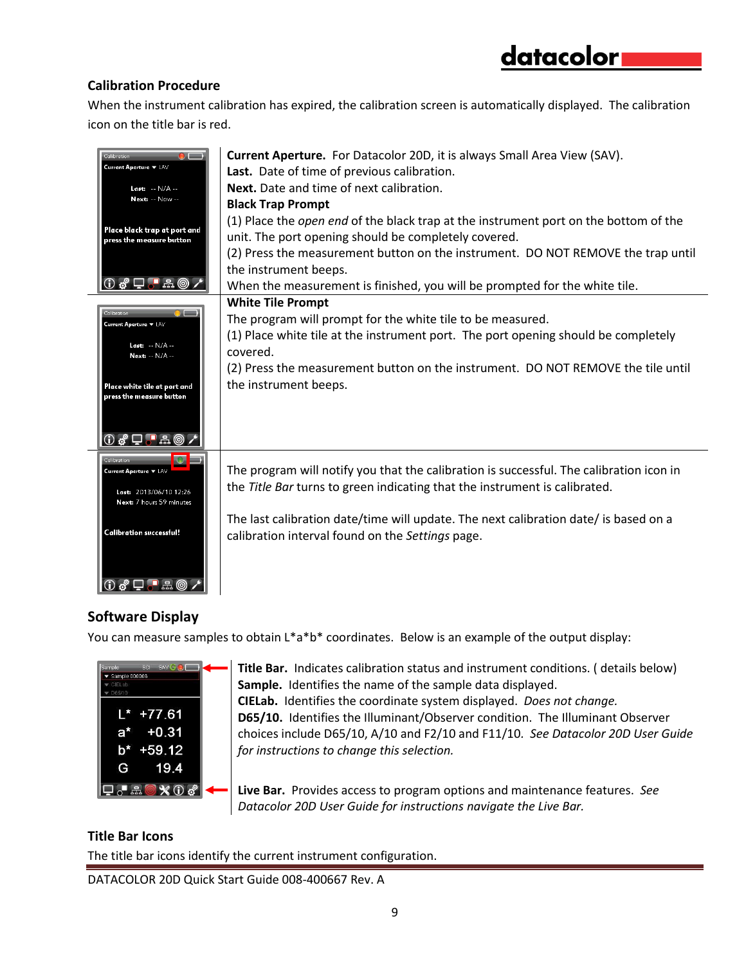#### **Calibration Procedure**

When the instrument calibration has expired, the calibration screen is automatically displayed. The calibration icon on the title bar is red.

| $\bullet$ $-$<br>Calibration<br>Current Aperture v LAV<br>Last: -- N/A --<br>Next: -- Now --<br>Place black trap at port and<br>press the measure button<br>$0$ of $\Box$ . A $\circ$ / | <b>Current Aperture.</b> For Datacolor 20D, it is always Small Area View (SAV).<br>Last. Date of time of previous calibration.<br>Next. Date and time of next calibration.<br><b>Black Trap Prompt</b><br>(1) Place the open end of the black trap at the instrument port on the bottom of the<br>unit. The port opening should be completely covered.<br>(2) Press the measurement button on the instrument. DO NOT REMOVE the trap until<br>the instrument beeps.<br>When the measurement is finished, you will be prompted for the white tile. |
|-----------------------------------------------------------------------------------------------------------------------------------------------------------------------------------------|---------------------------------------------------------------------------------------------------------------------------------------------------------------------------------------------------------------------------------------------------------------------------------------------------------------------------------------------------------------------------------------------------------------------------------------------------------------------------------------------------------------------------------------------------|
| Calibration<br>Current Aperture ▼ LAV<br>Last: -- N/A --<br>Next: -- N/A --<br>Place white tile at port and<br>press the measure button<br>$\delta$ D $\blacksquare$ a $\odot$ /        | <b>White Tile Prompt</b><br>The program will prompt for the white tile to be measured.<br>(1) Place white tile at the instrument port. The port opening should be completely<br>covered.<br>(2) Press the measurement button on the instrument. DO NOT REMOVE the tile until<br>the instrument beeps.                                                                                                                                                                                                                                             |
| Calibration<br>Current Aperture $\blacktriangledown$ LAV<br>Last: 2013/06/10 12:26<br>Next: 7 hours 59 minutes<br><b>Calibration successful!</b><br>$0$ of $\square$ . A $\odot$        | The program will notify you that the calibration is successful. The calibration icon in<br>the Title Bar turns to green indicating that the instrument is calibrated.<br>The last calibration date/time will update. The next calibration date/ is based on a<br>calibration interval found on the Settings page.                                                                                                                                                                                                                                 |

### **Software Display**

You can measure samples to obtain L\*a\*b\* coordinates. Below is an example of the output display:



**Title Bar.** Indicates calibration status and instrument conditions. ( details below) **Sample.** Identifies the name of the sample data displayed. **CIELab.** Identifies the coordinate system displayed. *Does not change.*  **D65/10.** Identifies the Illuminant/Observer condition. The Illuminant Observer choices include D65/10, A/10 and F2/10 and F11/10*. See Datacolor 20D User Guide for instructions to change this selection.* 

**Live Bar.** Provides access to program options and maintenance features. *See Datacolor 20D User Guide for instructions navigate the Live Bar.* 

#### **Title Bar Icons**

The title bar icons identify the current instrument configuration.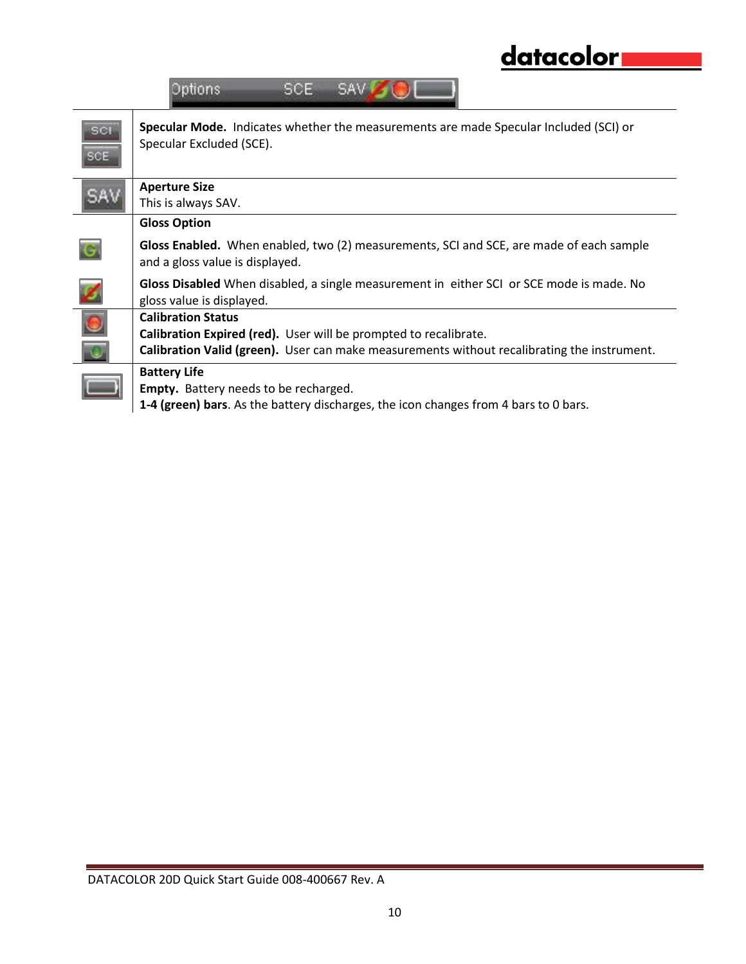|            | datacolor                                                                                                                                                                                    |
|------------|----------------------------------------------------------------------------------------------------------------------------------------------------------------------------------------------|
|            | Options<br>SCE.<br>SAV.                                                                                                                                                                      |
| <b>SCI</b> | Specular Mode. Indicates whether the measurements are made Specular Included (SCI) or<br>Specular Excluded (SCE).                                                                            |
|            | <b>Aperture Size</b><br>This is always SAV.                                                                                                                                                  |
|            | <b>Gloss Option</b>                                                                                                                                                                          |
|            | Gloss Enabled. When enabled, two (2) measurements, SCI and SCE, are made of each sample<br>and a gloss value is displayed.                                                                   |
|            | Gloss Disabled When disabled, a single measurement in either SCI or SCE mode is made. No<br>gloss value is displayed.                                                                        |
|            | <b>Calibration Status</b><br>Calibration Expired (red). User will be prompted to recalibrate.<br>Calibration Valid (green). User can make measurements without recalibrating the instrument. |
|            | <b>Battery Life</b><br>Empty. Battery needs to be recharged.<br>1-4 (green) bars. As the battery discharges, the icon changes from 4 bars to 0 bars.                                         |